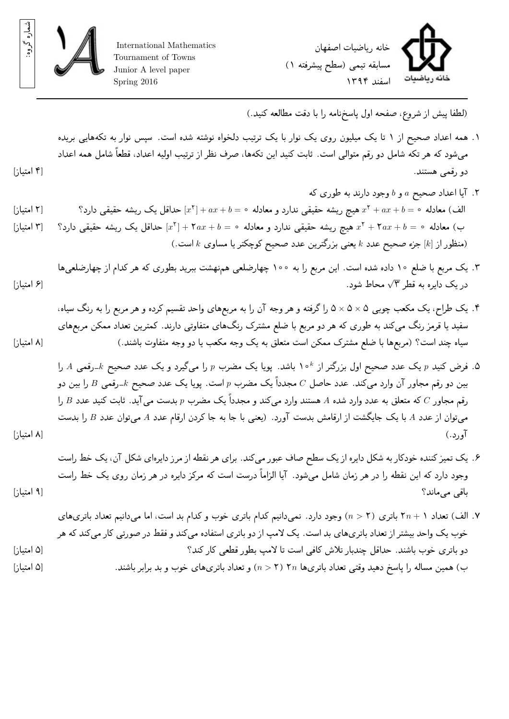

شماره

گر وه:

International Mathematics Tournament of Towns Junior A level paper Spring 2016



(لطفا پيش از شر وع، صفحه اول پاسخنامه را با دقت مطالعه کنيد.)

- .۱ همه اعداد صحیح از ۱ تا یک میلیون ر وی یک نوار با یک ترتیب دلخواه نوشته شده است. سپس نوار به تکههایی بریده میشود که هر تکه شامل دو رقم متوالی است. ثابت کنید این تکهها، صرف نظر از ترتیب اولیه اعداد، قطعاً شامل همه اعداد دو رقمی هستند. [۴ امتیاز]
- .۲ آیا اعداد صحیح *a* و *b* وجود دارند به طوری که *x* [حداقل یک ر یشه حقیقی دارد؟ ۲ الف) معادله ۰ = *b* + *ax* + <sup>۲</sup>] ۲ امتیاز] *x* هیچ ر یشه حقیقی ندارد و معادله ۰ = *b* + *ax* +] *x* [حداقل یک ر یشه حقیقی دارد؟ ۲ ب) معادله ۰ = *b* + *ax*۲ + <sup>۲</sup>] ۳ امتیاز] *x* هیچ ر یشه حقیقی ندارد و معادله ۰ = *b* + *ax*۲ +] (منظور از [*k* [جزء صحیح عدد *k* یعنی بزرگترین عدد صحیح کوچکتر یا مساوی *k* است.)
- .۳ یک مربع با ضلع ۱۰ داده شده است. این مربع را به ۱۰۰ چهارضلعی همنهشت ببرید بطوری که هر کدام از چهارضلعیها *√* محاط شود. در یک دایره به قطر ۳ [۶ امتیاز]
- .۴ یک طراح، یک مکعب چوبی ۵ *×* ۵ *×* ۵ را گرفته و هر وجه آن را به مربعهای واحد تقسیم کرده و هر مربع را به رنگ سیاه، سفید یا قرمز رنگ میکند به طوری که هر دو مربع با ضلع مشترک رنگهای متفاوتی دارند. کمترین تعداد ممکن مربعهای سیاه چند است؟ (مربعها با ضلع مشترک ممکن است متعلق به یک وجه مکعب یا دو وجه متفاوت باشند.) [۸ امتیاز]
- *<sup>k</sup>*۱۰ باشد. پویا یک مضرب *p* را میگیرد و یک عدد صحیح *k*-رقمی *A* را .۵ فرض کنید *p* یک عدد صحیح اول بزرگتر از بین دو رقم مجاور آن وارد میکند. عدد حاصل *C* مجدداً یک مضرب *p* است. پویا یک عدد صحیح *k*-رقمی *B* را بین دو رقم مجاور *C* که متعلق به عدد وارد شده *A* هستند وارد میکند و مجدداً یک مضرب *p* بدست میآید. ثابت کنید عدد *B* را میتوان از عدد *A* با یک جایگشت از ارقامش بدست آورد. (یعنی با جا به جا کردن ارقام عدد *A* میتوان عدد *B* را بدست آورد.) [۸ امتیاز]
- .۶ یک تمیز کننده خودکار به شکل دایره از یک سطح صاف عبور میکند. برای هر نقطه از مر ز دایرهای شکل آن، یک خط راست وجود دارد که این نقطه را در هر زمان شامل میشود. آیا الزاماً درست است که مرکز دایره در هر زمان ر وی یک خط راست باقی میماند؟ [۹ امتیاز]
- .۷ الف) تعداد ۱ + *n*۲ باتری (۲ *< n* (وجود دارد. نمیدانیم کدام باتری خوب و کدام بد است، اما میدانیم تعداد باتریهای خوب یک واحد بیشتر از تعداد باتریهای بد است. یک لامپ از دو باتری استفاده میکند و فقط در صورتی کار میکند که هر دو باتری خوب باشند. حداقل چندبار تلاش کافی است تا لامپ بطور قطعی کار کند؟ [۵ امتیاز] ب) همین مساله را پاسخ دهید وقتی تعداد باتریها *n*۲) ۲ *> n* (و تعداد باتریهای خوب و بد برابر باشند. [۵ امتیاز]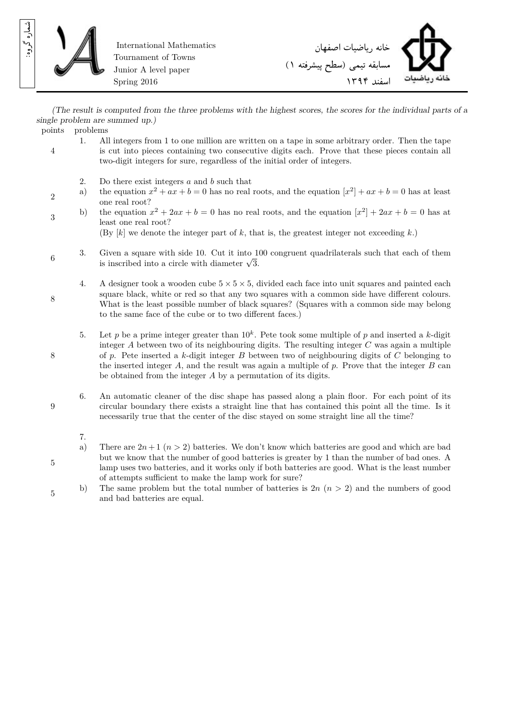

2

8

8

9

5

5

International Mathematics Tournament of Towns Junior A level paper Spring 2016



*(The result is computed from the three problems with the highest scores, the scores for the individual parts of a single problem are summed up.)*

points problems

- 4 1. All integers from 1 to one million are written on a tape in some arbitrary order. Then the tape is cut into pieces containing two consecutive digits each. Prove that these pieces contain all two-digit integers for sure, regardless of the initial order of integers.
	- 2. Do there exist integers *a* and *b* such that
	- a) the equation  $x^2 + ax + b = 0$  has no real roots, and the equation  $[x^2] + ax + b = 0$  has at least one real root?
- 3 b) the equation  $x^2 + 2ax + b = 0$  has no real roots, and the equation  $[x^2] + 2ax + b = 0$  has at least one real root?

(By [*k*] we denote the integer part of *k*, that is, the greatest integer not exceeding *k*.)

- 6 3. Given a square with side 10. Cut it into 100 congruent quadrilaterals such that each of them is inscribed into a circle with diameter  $\sqrt{3}$ .
	- 4. A designer took a wooden cube 5 *×* 5 *×* 5, divided each face into unit squares and painted each square black, white or red so that any two squares with a common side have different colours. What is the least possible number of black squares? (Squares with a common side may belong to the same face of the cube or to two different faces.)
	- 5. Let p be a prime integer greater than  $10<sup>k</sup>$ . Pete took some multiple of p and inserted a k-digit integer  $A$  between two of its neighbouring digits. The resulting integer  $C$  was again a multiple of *p*. Pete inserted a *k*-digit integer *B* between two of neighbouring digits of *C* belonging to the inserted integer *A*, and the result was again a multiple of *p*. Prove that the integer *B* can be obtained from the integer *A* by a permutation of its digits.
	- 6. An automatic cleaner of the disc shape has passed along a plain floor. For each point of its circular boundary there exists a straight line that has contained this point all the time. Is it necessarily true that the center of the disc stayed on some straight line all the time?
		- 7.
		- a) There are  $2n+1$   $(n>2)$  batteries. We don't know which batteries are good and which are bad but we know that the number of good batteries is greater by 1 than the number of bad ones. A lamp uses two batteries, and it works only if both batteries are good. What is the least number of attempts sufficient to make the lamp work for sure?
	- b) The same problem but the total number of batteries is 2*n* (*n >* 2) and the numbers of good and bad batteries are equal.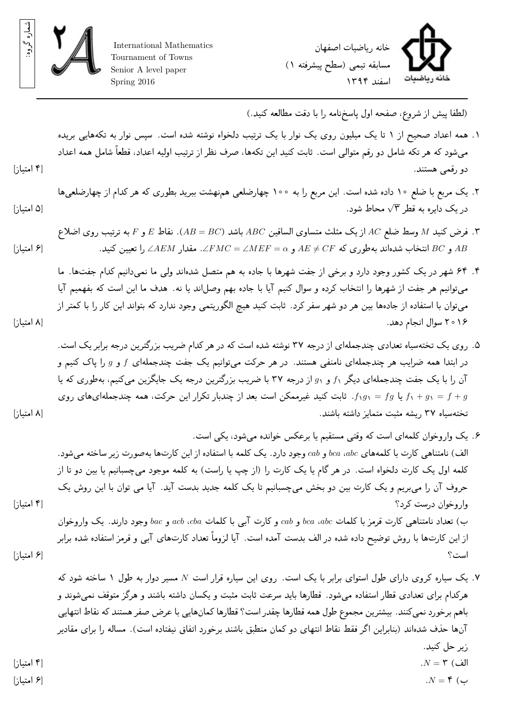

International Mathematics Tournament of Towns Senior A level paper Spring 2016



(لطفا پيش از شر وع، صفحه اول پاسخنامه را با دقت مطالعه کنيد.)

- .۱ همه اعداد صحیح از ۱ تا یک میلیون ر وی یک نوار با یک ترتیب دلخواه نوشته شده است. سپس نوار به تکههایی بریده میشود که هر تکه شامل دو رقم متوالی است. ثابت کنید این تکهها، صرف نظر از ترتیب اولیه اعداد، قطعاً شامل همه اعداد دو رقمی هستند. [۴ امتیاز]
- .۲ یک مربع با ضلع ۱۰ داده شده است. این مربع را به ۱۰۰ چهارضلعی همنهشت ببرید بطوری که هر کدام از چهارضلعیها *√* محاط شود. در یک دایره به قطر ۳ [۵ امتیاز]
- .۳ فرض کنید *M* وسط ضلع *AC* از یک مثلث متساوی الساقین *ABC* باشد (*BC* = *AB*(. نقاط *E* و *F* به ترتیب ر وی اضلاع *AB* و *BC* انتخاب شدهاند بهطوری که *CF*= *̸ AE* و *α* = *MEF* = ∠*FMC*∠. مقدار *AEM* ∠را تعیین کنید. [۶ امتیاز]
- .۴ ۶۴ شهر در یک کشور وجود دارد و برخی از جفت شهرها با جادهبه هم متصل شدهاند ولی ما نمیدانیم کدام جفتها. ما میتوانیم هر جفت از شهرها را انتخاب کرده و سوال کنیم آیا با جاده بهم وصلاند یا نه. هدف ما این است که بفهمیم آیا میتوان با استفاده از جادهها بین هر دو شهر سفر کرد. ثابت کنید هیچ الگور یتمی وجود ندارد که بتواند این کار را با کمتر از ۲۰۱۶ سوال انجام دهد. [۸ امتیاز]
- .۵ ر وی یک تختهسیاه تعدادی چندجملهای از درجه ۳۷ نوشته شده است که در هر کدام ضریب بزرگترین درجه برابر یک است. در ابتدا همه ضرایب هر چندجملهای نامنفی هستند. در هر حرکت میتوانیم یک جفت چندجملهای *f* و *g* را پاک کنیم و آن را با یک جفت چندجملهای دیگر <sup>۱</sup>*f* و <sup>۱</sup>*g* از درجه ۳۷ با ضریب بزرگترین درجه یک جایگزین میکنیم، بهطوری که یا *g* + *f* = <sup>۱</sup>*g* + <sup>۱</sup>*f* یا *fg* = <sup>۱</sup>*g*۱*f*. ثابت کنید غیرممکن است بعد از چندبار تکرار این حرکت، همه چندجملهایهای ر وی تختهسیاه ۳۷ ر یشه مثبت متمایز داشته باشند. [۸ امتیاز]
- .۶ یک وار وخوان کلمهای است که وقتی مستقیم یا برعکس خوانده میشود، یکی است. الف) نامتناهی کارت با کلمههای *abc*، *bca* و *cab* وجود دارد. یک کلمه با استفاده از این کارتها بهصورت زیر ساخته میشود. کلمه اول یک کارت دلخواه است. در هر گام یا یک کارت را (از چپ یا راست) به کلمه موجود میچسبانیم یا بین دو تا از حروف آن را میبریم و یک کارت بین دو بخش میچسبانیم تا یک کلمه جدید بدست آید. آیا می توان با این روش یک وار وخوان درست کرد؟ [۴ امتیاز] ب) تعداد نامتناهی کارت قرمز با کلمات *abc*، *bca* و *cab* و کارت آبی با کلمات *cba*، *acb* و *bac* وجود دارند. یک وار وخوان از این کارتها با ر وش توضیح داده شده در الف بدست آمده است. آیا لزوماً تعداد کارتهای آبی و قرمز استفاده شده برابر است؟ [۶ امتیاز]
- .۷ یک سیاره کر وی دارای طول استوای برابر با یک است. ر وی این سیاره قرار است *N* مسیر دوار به طول ۱ ساخته شود که هرکدام برای تعدادی قطار استفاده میشود. قطارها باید سرعت ثابت مثبت و یکسان داشته باشند و هرگز متوقف نمیشوند و باهم برخورد نمیکنند. بیشترین مجموع طول همه قطارها چقدر است؟ قطارها کمانهایی با عرض صفر هستند که نقاط انتهایی آنها حذف شدهاند (بنابراین اگر فقط نقاط انتهای دو کمان منطبق باشند برخورد اتفاق نیفتاده است). مساله را برای مقادیر زیر حل کنید. الف) ۳ = *N*.] ۴ امتیاز] ب) ۴ = *N*.] ۶ امتیاز]